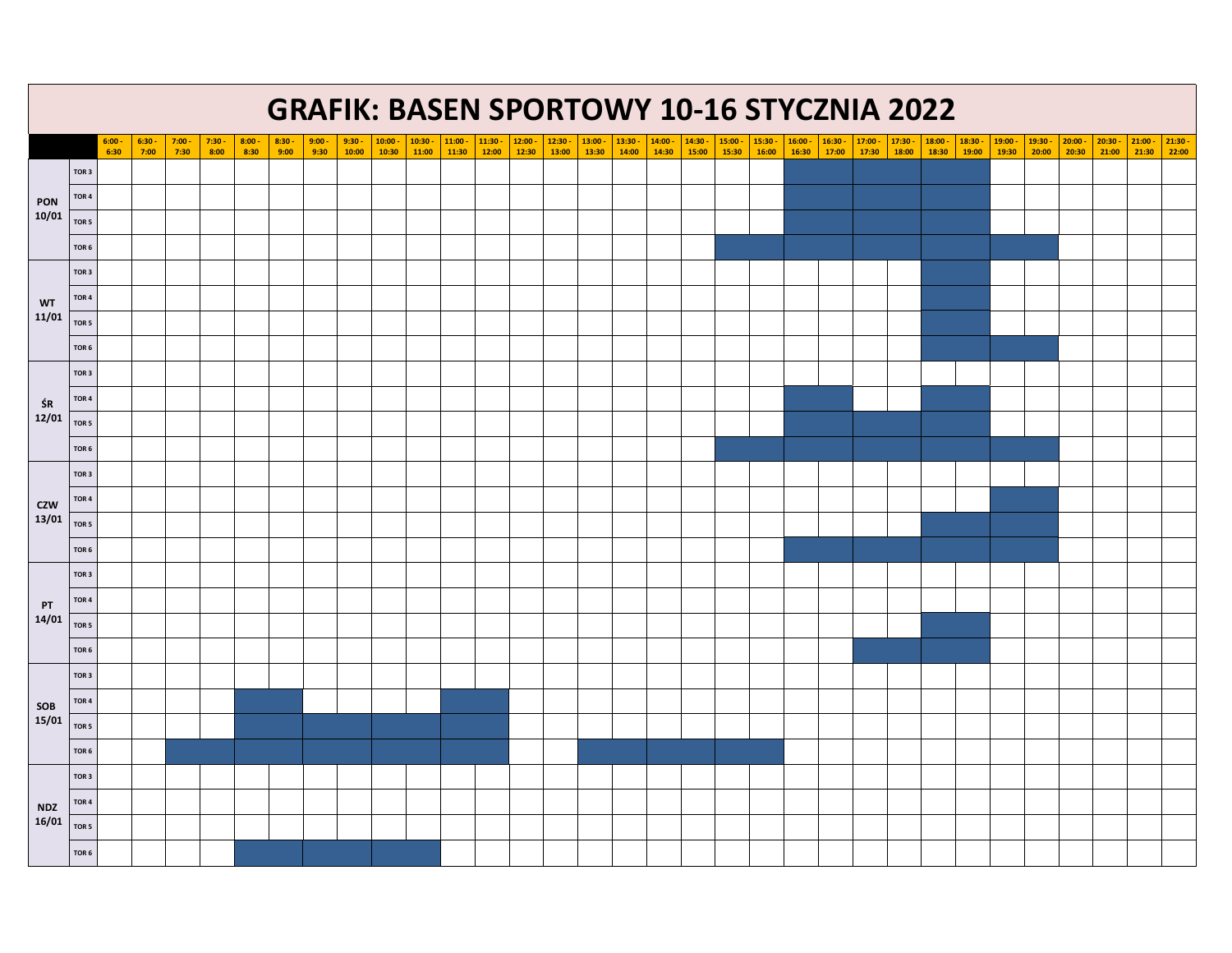